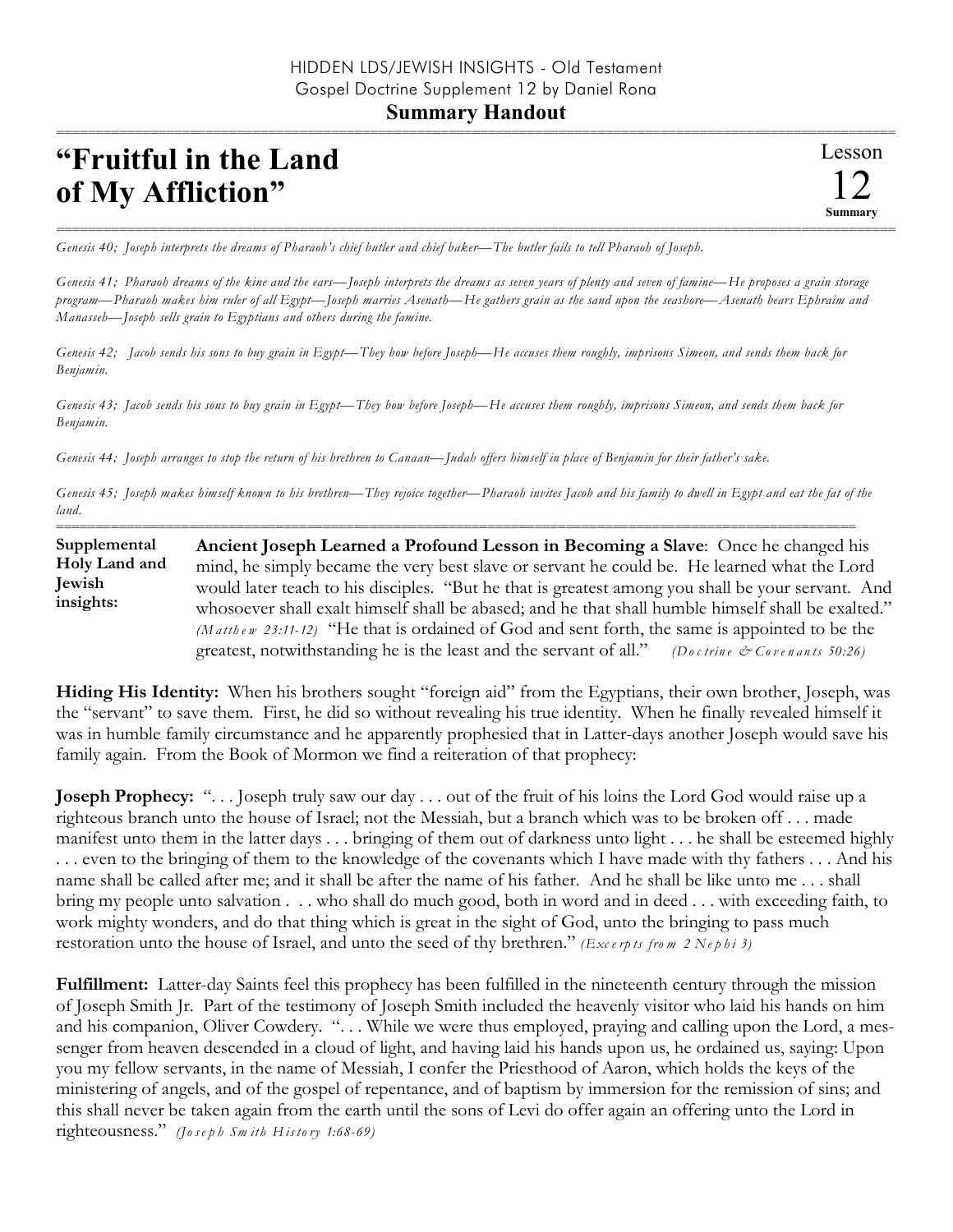## **Summary Handout**

## **"Fruitful in the Land of My Affliction"**

=========================================================================================================== *Genesis 40; Joseph interprets the dreams of Pharaoh's chief butler and chief baker—The butler fails to tell Pharaoh of Joseph.*

*Genesis 41; Pharaoh dreams of the kine and the ears—Joseph interprets the dreams as seven years of plenty and seven of famine—He proposes a grain storage program—Pharaoh makes him ruler of all Egypt—Joseph marries Asenath—He gathers grain as the sand upon the seashore—Asenath bears Ephraim and Manasseh—Joseph sells grain to Egyptians and others during the famine.*

*Genesis 42; Jacob sends his sons to buy grain in Egypt—They bow before Joseph—He accuses them roughly, imprisons Simeon, and sends them back for Benjamin.*

*Genesis 43; Jacob sends his sons to buy grain in Egypt—They bow before Joseph—He accuses them roughly, imprisons Simeon, and sends them back for Benjamin.*

*Genesis 44; Joseph arranges to stop the return of his brethren to Canaan—Judah offers himself in place of Benjamin for their father's sake.*

*Genesis 45; Joseph makes himself known to his brethren—They rejoice together—Pharaoh invites Jacob and his family to dwell in Egypt and eat the fat of the land.*

====================================================================================================== **Ancient Joseph Learned a Profound Lesson in Becoming a Slave**: Once he changed his mind, he simply became the very best slave or servant he could be. He learned what the Lord would later teach to his disciples. "But he that is greatest among you shall be your servant. And whosoever shall exalt himself shall be abased; and he that shall humble himself shall be exalted." *(M a tth e w 23:11-12)* "He that is ordained of God and sent forth, the same is appointed to be the greatest, notwithstanding he is the least and the servant of all." *(Do c trin e & Co ve n a n ts 50:26)* **Supplemental Holy Land and Jewish insights:**

**Hiding His Identity:** When his brothers sought "foreign aid" from the Egyptians, their own brother, Joseph, was the "servant" to save them. First, he did so without revealing his true identity. When he finally revealed himself it was in humble family circumstance and he apparently prophesied that in Latter-days another Joseph would save his family again. From the Book of Mormon we find a reiteration of that prophecy:

**Joseph Prophecy:** ". . . Joseph truly saw our day . . . out of the fruit of his loins the Lord God would raise up a righteous branch unto the house of Israel; not the Messiah, but a branch which was to be broken off . . . made manifest unto them in the latter days . . . bringing of them out of darkness unto light . . . he shall be esteemed highly . . . even to the bringing of them to the knowledge of the covenants which I have made with thy fathers . . . And his name shall be called after me; and it shall be after the name of his father. And he shall be like unto me . . . shall bring my people unto salvation . . . who shall do much good, both in word and in deed . . . with exceeding faith, to work mighty wonders, and do that thing which is great in the sight of God, unto the bringing to pass much restoration unto the house of Israel, and unto the seed of thy brethren." *(Exc e rp ts fro m 2 Ne p h i 3)*

**Fulfillment:** Latter-day Saints feel this prophecy has been fulfilled in the nineteenth century through the mission of Joseph Smith Jr. Part of the testimony of Joseph Smith included the heavenly visitor who laid his hands on him and his companion, Oliver Cowdery. ". . . While we were thus employed, praying and calling upon the Lord, a messenger from heaven descended in a cloud of light, and having laid his hands upon us, he ordained us, saying: Upon you my fellow servants, in the name of Messiah, I confer the Priesthood of Aaron, which holds the keys of the ministering of angels, and of the gospel of repentance, and of baptism by immersion for the remission of sins; and this shall never be taken again from the earth until the sons of Levi do offer again an offering unto the Lord in righteousness." *(Jo s e p h Sm ith H is to ry 1:68-69)*